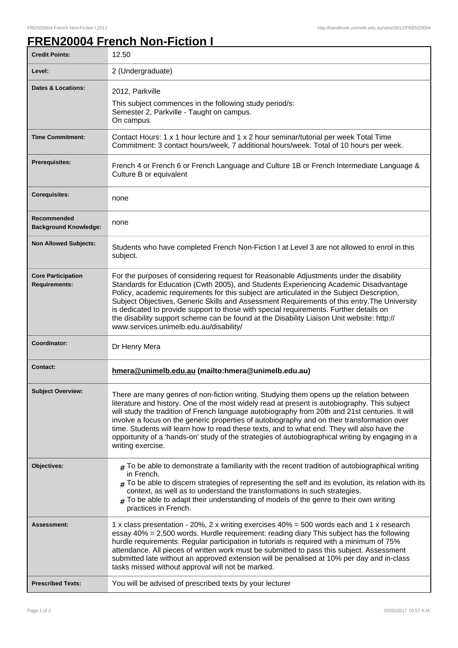## **FREN20004 French Non-Fiction I**

| <b>Credit Points:</b>                             | 12.50                                                                                                                                                                                                                                                                                                                                                                                                                                                                                                                                                                                                                |
|---------------------------------------------------|----------------------------------------------------------------------------------------------------------------------------------------------------------------------------------------------------------------------------------------------------------------------------------------------------------------------------------------------------------------------------------------------------------------------------------------------------------------------------------------------------------------------------------------------------------------------------------------------------------------------|
| Level:                                            | 2 (Undergraduate)                                                                                                                                                                                                                                                                                                                                                                                                                                                                                                                                                                                                    |
| <b>Dates &amp; Locations:</b>                     | 2012, Parkville<br>This subject commences in the following study period/s:<br>Semester 2, Parkville - Taught on campus.<br>On campus                                                                                                                                                                                                                                                                                                                                                                                                                                                                                 |
| <b>Time Commitment:</b>                           | Contact Hours: 1 x 1 hour lecture and 1 x 2 hour seminar/tutorial per week Total Time<br>Commitment: 3 contact hours/week, 7 additional hours/week. Total of 10 hours per week.                                                                                                                                                                                                                                                                                                                                                                                                                                      |
| <b>Prerequisites:</b>                             | French 4 or French 6 or French Language and Culture 1B or French Intermediate Language &<br>Culture B or equivalent                                                                                                                                                                                                                                                                                                                                                                                                                                                                                                  |
| <b>Corequisites:</b>                              | none                                                                                                                                                                                                                                                                                                                                                                                                                                                                                                                                                                                                                 |
| Recommended<br><b>Background Knowledge:</b>       | none                                                                                                                                                                                                                                                                                                                                                                                                                                                                                                                                                                                                                 |
| <b>Non Allowed Subjects:</b>                      | Students who have completed French Non-Fiction I at Level 3 are not allowed to enrol in this<br>subject.                                                                                                                                                                                                                                                                                                                                                                                                                                                                                                             |
| <b>Core Participation</b><br><b>Requirements:</b> | For the purposes of considering request for Reasonable Adjustments under the disability<br>Standards for Education (Cwth 2005), and Students Experiencing Academic Disadvantage<br>Policy, academic requirements for this subject are articulated in the Subject Description,<br>Subject Objectives, Generic Skills and Assessment Requirements of this entry. The University<br>is dedicated to provide support to those with special requirements. Further details on<br>the disability support scheme can be found at the Disability Liaison Unit website: http://<br>www.services.unimelb.edu.au/disability/     |
| Coordinator:                                      | Dr Henry Mera                                                                                                                                                                                                                                                                                                                                                                                                                                                                                                                                                                                                        |
| <b>Contact:</b>                                   | hmera@unimelb.edu.au (mailto:hmera@unimelb.edu.au)                                                                                                                                                                                                                                                                                                                                                                                                                                                                                                                                                                   |
| <b>Subject Overview:</b>                          | There are many genres of non-fiction writing. Studying them opens up the relation between<br>literature and history. One of the most widely read at present is autobiography. This subject<br>will study the tradition of French language autobiography from 20th and 21st centuries. It will<br>involve a focus on the generic properties of autobiography and on their transformation over<br>time. Students will learn how to read these texts, and to what end. They will also have the<br>opportunity of a 'hands-on' study of the strategies of autobiographical writing by engaging in a<br>writing exercise. |
| Objectives:                                       | $_{\text{\#}}$ To be able to demonstrate a familiarity with the recent tradition of autobiographical writing<br>in French.<br>$_{\#}$ To be able to discern strategies of representing the self and its evolution, its relation with its<br>context, as well as to understand the transformations in such strategies.<br>To be able to adapt their understanding of models of the genre to their own writing<br>#<br>practices in French.                                                                                                                                                                            |
| Assessment:                                       | 1 x class presentation - 20%, 2 x writing exercises 40% = 500 words each and 1 x research<br>essay 40% = 2,500 words. Hurdle requirement: reading diary This subject has the following<br>hurdle requirements: Regular participation in tutorials is required with a minimum of 75%<br>attendance. All pieces of written work must be submitted to pass this subject. Assessment<br>submitted late without an approved extension will be penalised at 10% per day and in-class<br>tasks missed without approval will not be marked.                                                                                  |
| <b>Prescribed Texts:</b>                          | You will be advised of prescribed texts by your lecturer                                                                                                                                                                                                                                                                                                                                                                                                                                                                                                                                                             |